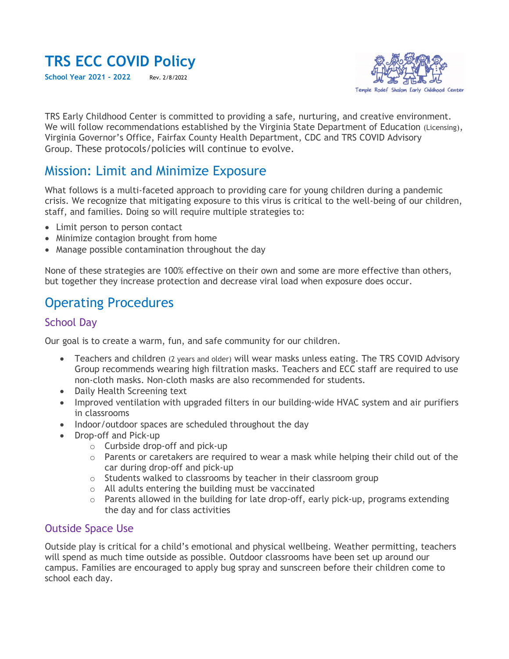# **TRS ECC COVID Policy**

**School Year 2021 - 2022** Rev. 2/8/2022



TRS Early Childhood Center is committed to providing a safe, nurturing, and creative environment. We will follow recommendations established by the Virginia State Department of Education (Licensing), Virginia Governor's Office, Fairfax County Health Department, CDC and TRS COVID Advisory Group. These protocols/policies will continue to evolve.

## Mission: Limit and Minimize Exposure

What follows is a multi-faceted approach to providing care for young children during a pandemic crisis. We recognize that mitigating exposure to this virus is critical to the well-being of our children, staff, and families. Doing so will require multiple strategies to:

- Limit person to person contact
- Minimize contagion brought from home
- Manage possible contamination throughout the day

None of these strategies are 100% effective on their own and some are more effective than others, but together they increase protection and decrease viral load when exposure does occur.

# Operating Procedures

#### School Day

Our goal is to create a warm, fun, and safe community for our children.

- Teachers and children (2 years and older) will wear masks unless eating. The TRS COVID Advisory Group recommends wearing high filtration masks. Teachers and ECC staff are required to use non-cloth masks. Non-cloth masks are also recommended for students.
- Daily Health Screening text
- Improved ventilation with upgraded filters in our building-wide HVAC system and air purifiers in classrooms
- Indoor/outdoor spaces are scheduled throughout the day
- Drop-off and Pick-up
	- o Curbside drop-off and pick-up
	- $\circ$  Parents or caretakers are required to wear a mask while helping their child out of the car during drop-off and pick-up
	- o Students walked to classrooms by teacher in their classroom group
	- o All adults entering the building must be vaccinated
	- $\circ$  Parents allowed in the building for late drop-off, early pick-up, programs extending the day and for class activities

#### Outside Space Use

Outside play is critical for a child's emotional and physical wellbeing. Weather permitting, teachers will spend as much time outside as possible. Outdoor classrooms have been set up around our campus. Families are encouraged to apply bug spray and sunscreen before their children come to school each day.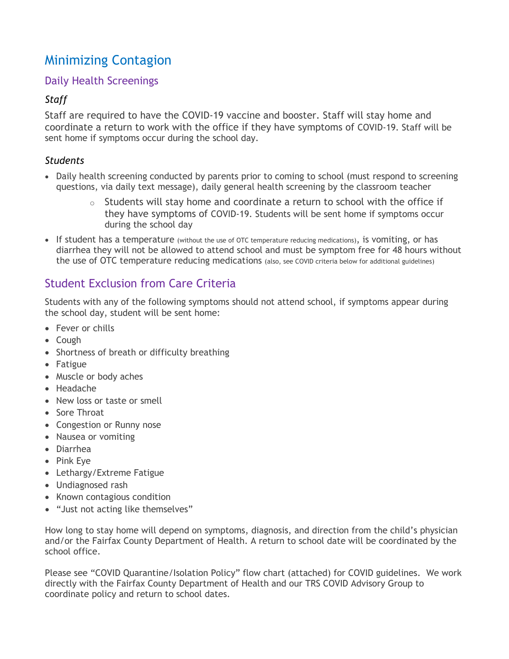# Minimizing Contagion

### Daily Health Screenings

### *Staff*

Staff are required to have the COVID-19 vaccine and booster. Staff will stay home and coordinate a return to work with the office if they have symptoms of COVID-19. Staff will be sent home if symptoms occur during the school day.

### *Students*

- Daily health screening conducted by parents prior to coming to school (must respond to screening questions, via daily text message), daily general health screening by the classroom teacher
	- $\circ$  Students will stay home and coordinate a return to school with the office if they have symptoms of COVID-19. Students will be sent home if symptoms occur during the school day
- If student has a temperature (without the use of OTC temperature reducing medications), is vomiting, or has diarrhea they will not be allowed to attend school and must be symptom free for 48 hours without the use of OTC temperature reducing medications (also, see COVID criteria below for additional guidelines)

### Student Exclusion from Care Criteria

Students with any of the following symptoms should not attend school, if symptoms appear during the school day, student will be sent home:

- Fever or chills
- Cough
- Shortness of breath or difficulty breathing
- Fatigue
- Muscle or body aches
- Headache
- New loss or taste or smell
- Sore Throat
- Congestion or Runny nose
- Nausea or vomiting
- Diarrhea
- Pink Eye
- Lethargy/Extreme Fatigue
- Undiagnosed rash
- Known contagious condition
- "Just not acting like themselves"

How long to stay home will depend on symptoms, diagnosis, and direction from the child's physician and/or the Fairfax County Department of Health. A return to school date will be coordinated by the school office.

Please see "COVID Quarantine/Isolation Policy" flow chart (attached) for COVID guidelines. We work directly with the Fairfax County Department of Health and our TRS COVID Advisory Group to coordinate policy and return to school dates.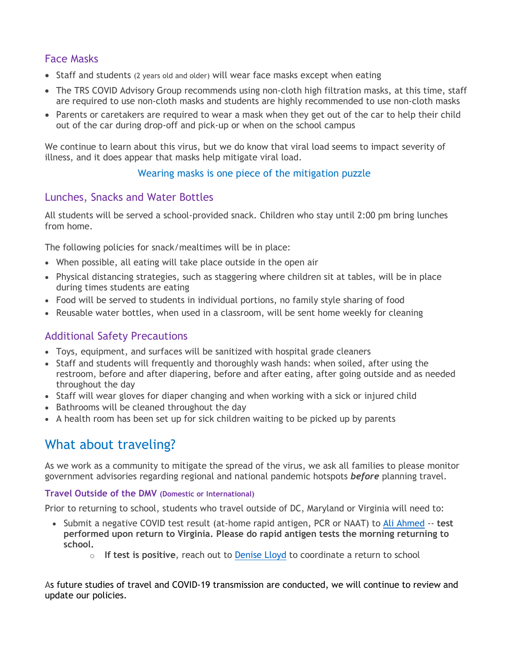### Face Masks

- Staff and students (2 years old and older) will wear face masks except when eating
- The TRS COVID Advisory Group recommends using non-cloth high filtration masks, at this time, staff are required to use non-cloth masks and students are highly recommended to use non-cloth masks
- Parents or caretakers are required to wear a mask when they get out of the car to help their child out of the car during drop-off and pick-up or when on the school campus

We continue to learn about this virus, but we do know that viral load seems to impact severity of illness, and it does appear that masks help mitigate viral load.

### Wearing masks is one piece of the mitigation puzzle

### Lunches, Snacks and Water Bottles

All students will be served a school-provided snack. Children who stay until 2:00 pm bring lunches from home.

The following policies for snack/mealtimes will be in place:

- When possible, all eating will take place outside in the open air
- Physical distancing strategies, such as staggering where children sit at tables, will be in place during times students are eating
- Food will be served to students in individual portions, no family style sharing of food
- Reusable water bottles, when used in a classroom, will be sent home weekly for cleaning

### Additional Safety Precautions

- Toys, equipment, and surfaces will be sanitized with hospital grade cleaners
- Staff and students will frequently and thoroughly wash hands: when soiled, after using the restroom, before and after diapering, before and after eating, after going outside and as needed throughout the day
- Staff will wear gloves for diaper changing and when working with a sick or injured child
- Bathrooms will be cleaned throughout the day
- A health room has been set up for sick children waiting to be picked up by parents

# What about traveling?

As we work as a community to mitigate the spread of the virus, we ask all families to please monitor government advisories regarding regional and national pandemic hotspots *before* planning travel.

#### **Travel Outside of the DMV (Domestic or International)**

Prior to returning to school, students who travel outside of DC, Maryland or Virginia will need to:

- Submit a negative COVID test result (at-home rapid antigen, PCR or NAAT) to [Ali Ahmed](mailto:aahmed@trsecc.org) -- **test performed upon return to Virginia. Please do rapid antigen tests the morning returning to school.**
	- o **If test is positive**, reach out to [Denise Lloyd](mailto:dlloyd@trsecc.org) to coordinate a return to school

As future studies of travel and COVID-19 transmission are conducted, we will continue to review and update our policies.